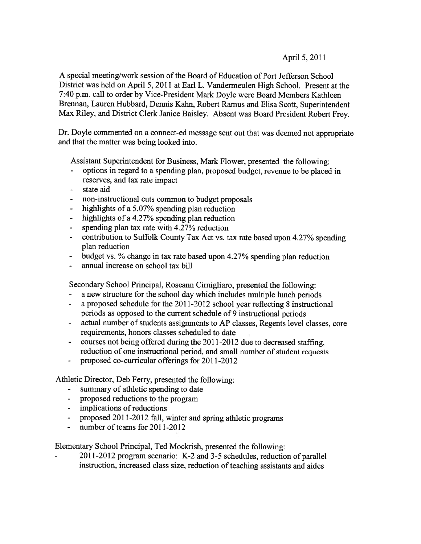# April 5, 2011

A special meeting/work session of the Board of Education of Port Jefferson School District was held on April 5, <sup>2011</sup> at Earl L. Vandermeulen High School. Present at the 7:40 p.m. call to order by Vice-President Mark Doyle were Board Members Kathleen Brennan, Lauren Hubbard, Dennis Kahn, Robert Ramus and Elisa Scott, Superintendent Max Riley, and District Clerk Janice Baisley. Absent was Board President Robert Frey.

Dr. Doyle commented on <sup>a</sup> connect-ed message sent out that was deemed not appropriate and that the matter was being looked into.

Assistant Superintendent for Business, Mark Flower, presented the following:

- options in regar<sup>d</sup> to <sup>a</sup> spending <sup>p</sup>lan, propose<sup>d</sup> budget, revenue to be <sup>p</sup>laced in reserves, and tax rate impact
- state aid
- non-instructional cuts common to budget proposals
- highlights of <sup>a</sup> 5.07% spending plan reduction
- highlights of <sup>a</sup> 4.27% spending plan reduction
- spending plan tax rate with 4.27% reduction
- contribution to Suffolk County Tax Act vs. tax rate based upon 4.27% spending plan reduction
- budget vs. % change in tax rate based upon 4.27% spending <sup>p</sup>lan reduction
- annual increase on school tax bill

Secondary School Principal, Roseann Cirnigliaro, presented the following:

- a new structure for the school day which includes multiple lunch periods
- <sup>a</sup> proposed schedule for the 2011-2012 school year reflecting 8 instructional periods as oppose<sup>d</sup> to the current schedule of <sup>9</sup> instructional periods
- actual number of students assignments to AP classes, Regents level classes, core requirements, honors classes scheduled to date
- courses not being offered during the 2011-2012 due to decreased staffing, reduction of one instructional period, and small number of student requests
- proposed co-curricular offerings for 2011-2012

Athletic Director, Deb Ferry, presented the following:

- summary of athletic spending to date
- proposed reductions to the program
- implications of reductions
- proposed 2011-2012 fall, winter and spring athletic programs
- number of teams for 2011-2012

Elementary School Principal, Ted Mockrish, presented the following:

2011-2012 program scenario: K-2 and 3-5 schedules, reduction of parallel instruction, increased class size, reduction of teaching assistants and aides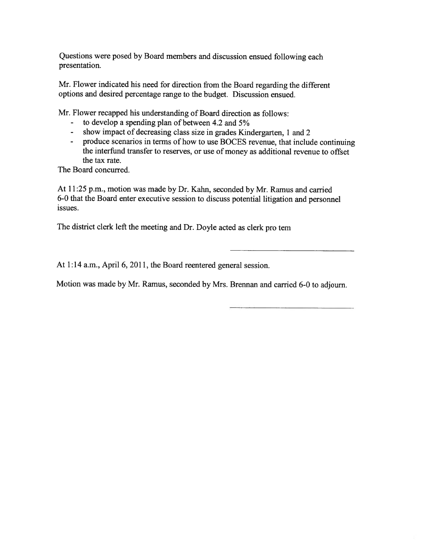Questions were pose<sup>d</sup> by Board members and discussion ensued following each presentation.

Mr. Flower indicated his need for direction from the Board regarding the different options and desired percentage range to the budget. Discussion ensued.

Mr. Flower recapped his understanding of Board direction as follows:

- to develop a spending plan of between 4.2 and 5%
- show impact of decreasing class size in grades Kindergarten, <sup>1</sup> and <sup>2</sup>
- produce scenarios in terms of how to use BOCES revenue, that include continuing the interfund transfer to reserves, or use of money as additional revenue to offset the tax rate.

The Board concurred.

At 11:25 p.m., motion was made by Dr. Kahn, seconded by Mr. Ramus and carried 6-0 that the Board enter executive session to discuss potential litigation and personne<sup>l</sup> issues.

The district clerk left the meeting and Dr. Doyle acted as clerk pro tem

At 1:14 a.m., April 6, 2011, the Board reentered general session.

Motion was made by Mr. Ramus, seconded by Mrs. Brennan and carried 6-0 to adjourn.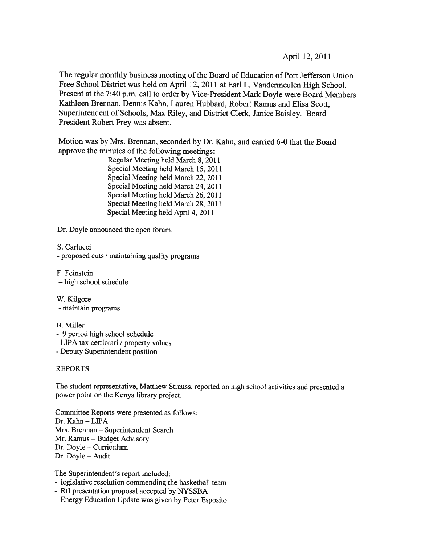April 12, 2011

The regular monthly business meeting of the Board of Education of Port Jefferson Union Free School District was held on April 12, <sup>2011</sup> at Earl L. Vandermeulen High School. Present at the 7:40 p.m. call to order by Vice-President Mark Doyle were Board Members Kathleen Brennan, Dennis Kahn, Lauren Hubbard, Robert Ramus and Elisa Scott, Superintendent of Schools, Max Riley, and District Clerk, Janice Baisley. Board President Robert Frey was absent.

Motion was by Mrs. Brennan, seconded by Dr. Kahn, and carried 6-0 that the Board approve the minutes of the following meetings:

> Regular Meeting held March 8, 2011 Special Meeting held March 15, 2011 Special Meeting held March 22, 2011 Special Meeting held March 24, 2011 Special Meeting held March 26, 2011 Special Meeting held March 28, 2011 Special Meeting held April 4, 2011

Dr. Doyle announced the open forum.

S. Carlucci

-proposed cuts / maintaining quality programs

F. Feinstein — high school schedule

W. Kilgore

-maintain programs

# B. Miller

- 9 period high school schedule
- -LIPA tax certiorari / property values
- -Deputy Superintendent position

# REPORTS

The student representative, Matthew Strauss, reported on high school activities and presented <sup>a</sup> power point on the Kenya library project.

Committee Reports were presented as follows: Dr. Kahn - LIPA Mrs. Brennan — Superintendent Search Mr. Ramus — Budget Advisory Dr. Doyle — Curriculum Dr. Doyle — Audit

The Superintendent's repor<sup>t</sup> included:

- legislative resolution commending the basketball team
- RtI presentation proposal accepted by NYSSBA
- Energy Education Update was given by Peter Esposito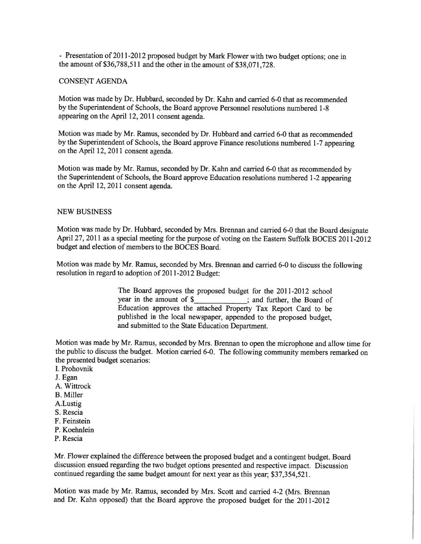- Presentation of 2011-2012 proposed budget by Mark Flower with two budget options; one in the amount of \$36,788,511 and the other in the amount of \$38,071,728.

#### CONSENT AGENDA

Motion was made by Dr. Hubbard, seconded by Dr. Kahn and carried 6-0 that as recommended by the Superintendent of Schools, the Board approve Personnel resolutions numbered 1-8 appearing on the April 12, 2011 consent agenda.

Motion was made by Mr. Ramus, seconded by Dr. Hubbard and carried 6-0 that as recommended by the Superintendent of Schools, the Board approve Finance resolutions numbered 1-7 appearing on the April 12, 2011 consent agenda.

Motion was made by Mr. Ramus, seconded by Dr. Kahn and carried 6-0 that as recommended by the Superintendent of Schools, the Board approve Education resolutions numbered 1-2 appearing on the April 12, 2011 consent agenda.

#### NEW BUSINESS

Motion was made by Dr. Hubbard, seconded by Mrs. Brennan and carried 6-0 that the Board designate April 27, <sup>2011</sup> as <sup>a</sup> special meeting for the purpose of voting on the Eastern Suffolk BOCES 2011-2012 budget and election of members to the BOCES Board.

Motion was made by Mr. Ramus, seconded by Mrs. Brennan and carried 6-0 to discuss the following resolution in regard to adoption of 201 1-2012 Budget:

> The Board approves the proposed budget for the 2011-2012 school year in the amount of \$ Education approves the attached Property Tax Report Card to be published in the local newspaper, appended to the proposed budget, and submitted to the State Education Department.

Motion was made by Mr. Ramus, seconded by Mrs. Brennan to open the microphone and allow time for the public to discuss the budget. Motion carried 6-0. The following community members remarked on the presented budget scenarios:

- I. Prohovnik
- J. Egan
- A. Wittrock
- B. Miller
- A.Lustig
- S. Rescia
- F. Feinstein
- P. Koehnlein
- P. Rescia

Mr. Flower explained the difference between the proposed budget and <sup>a</sup> contingent budget. Board discussion ensued regarding the two budget options presented and respective impact. Discussion continued regarding the same budget amount for next year as this year; \$37,354,521.

Motion was made by Mr. Ramus, seconded by Mrs. Scott and carried 4-2 (Mrs. Brennan and Dr. Kahn opposed) that the Board approve the proposed budget for the 2011-2012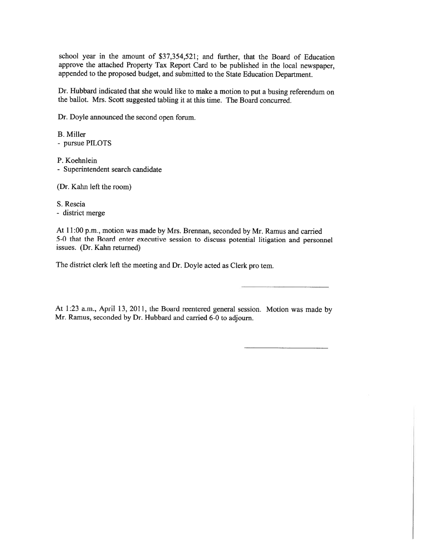school year in the amount of \$37,354,521; and further, that the Board of Education approve the attached Property Tax Report Card to be published in the local newspaper, appended to the propose<sup>d</sup> budget, and submitted to the State Education Department.

Dr. Hubbard indicated that she would like to make <sup>a</sup> motion to pu<sup>t</sup> <sup>a</sup> busing referendum on the ballot. Mrs. Scott suggested tabling it at this time. The Board concurred.

Dr. Doyle announced the second open forum.

B. Miller - pursue PILOTS

P. Koehnlein

- Superintendent search candidate

(Dr. Kahn left the room)

S. Rescia - district merge

At 11:00 p.m., motion was made by Mrs. Brennan, seconded by Mr. Ramus and earned 5-0 that the Board enter executive session to discuss potential litigation and personne<sup>l</sup> issues. (Dr. Kahn returned)

The district clerk left the meeting and Dr. Doyle acted as Clerk pro tern.

At 1:23 a.m., April 13, 2011, the Board reentered genera<sup>l</sup> session. Motion was made by Mr. Ramus, seconded by Dr. Hubbard and carried 6-0 to adjourn.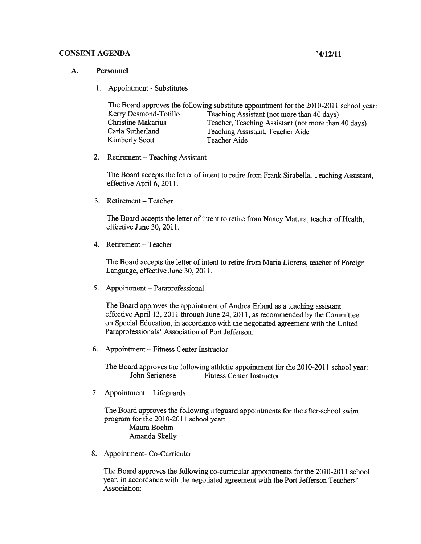#### CONSENT AGENDA '4/12/11

#### A. Personnel

1. Appointment - Substitutes

| The Board approves the following substitute appointment for the 2010-2011 school year: |                                                     |
|----------------------------------------------------------------------------------------|-----------------------------------------------------|
| Kerry Desmond-Totillo                                                                  | Teaching Assistant (not more than 40 days)          |
| <b>Christine Makarius</b>                                                              | Teacher, Teaching Assistant (not more than 40 days) |
| Carla Sutherland                                                                       | Teaching Assistant, Teacher Aide                    |
| Kimberly Scott                                                                         | Teacher Aide                                        |

2. Retirement — Teaching Assistant

The Board accepts the letter of intent to retire from Frank Sirabella, Teaching Assistant, effective April 6, 2011.

3. Retirement — Teacher

The Board accepts the letter of intent to retire from Nancy Matura, teacher of Health, effective June 30, 2011.

4. Retirement — Teacher

The Board accepts the letter of intent to retire from Maria Liorens, teacher of Foreign Language, effective June 30, 2011.

5. Appointment — Paraprofessional

The Board approves the appointment of Andrea Erland as <sup>a</sup> teaching assistant effective April 13, <sup>2011</sup> through June 24, 2011, as recommended by the Committee on Special Education, in accordance with the negotiated agreemen<sup>t</sup> with the United Paraprofessionals' Association of Port Jefferson.

6. Appointment — Fitness Center Instructor

The Board approves the following athletic appointment for the 2010-2011 school year: John Serignese Fitness Center Instructor

7. Appointment — Lifeguards

The Board approves the following lifeguard appointments for the after-school swim program for the 2010-2011 school year: Maura Boehm Amanda Skelly

8. Appointment- Co-Curricular

The Board approves the following co-curricular appointments for the 2010-2011 school year, in accordance with the negotiated agreemen<sup>t</sup> with the Port Jefferson Teachers' Association: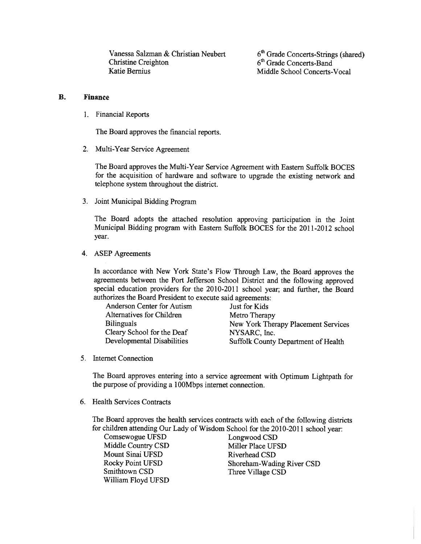Vanessa Salzman & Christian Neubert  $6<sup>th</sup>$  Grade Concerts-Strings (shared)<br>Christine Creighton  $6<sup>th</sup>$  Grade Concerts-Band Katie Bernius Middle School Concerts-Vocal

6<sup>th</sup> Grade Concerts-Band

### B. Finance

1. Financial Reports

The Board approves the financial reports.

2. Multi-Year Service Agreement

The Board approves the Multi-Year Service Agreement with Eastern Suffolk BOCES for the acquisition of hardware and software to upgrade the existing network and telephone system throughout the district.

3. Joint Municipal Bidding Program

The Board adopts the attached resolution approving participation in the Joint Municipal Bidding program with Eastern Suffolk BOCES for the 2011-2012 school year.

4. ASEP Agreements

In accordance with New York State's Flow Through Law, the Board approves the agreements between the Port Jefferson School District and the following approve<sup>d</sup> special education providers for the 2010-2011 school year; and further, the Board authorizes the Board President to execute said agreements:

| Anderson Center for Autism | Just for Kids                       |
|----------------------------|-------------------------------------|
| Alternatives for Children  | Metro Therapy                       |
| <b>Bilinguals</b>          | New York Therapy Placement Services |
| Cleary School for the Deaf | NYSARC, Inc.                        |
| Developmental Disabilities | Suffolk County Department of Health |

5. Internet Connection

The Board approves entering into <sup>a</sup> service agreemen<sup>t</sup> with Optimum Lightpath for the purpose of providing <sup>a</sup> 100Mbps internet connection.

6. Health Services Contracts

The Board approves the health services contracts with each of the following districts for children attending Our Lady of Wisdom School for the 2010-2011 school year:

Comsewogue UFSD Longwood CSD Middle Country CSD Miller Place UFSD Mount Sinai UFSD Riverhead CSD Smithtown CSD Three Village CSD William Floyd UFSD

Rocky Point UFSD Shoreham-Wading River CSD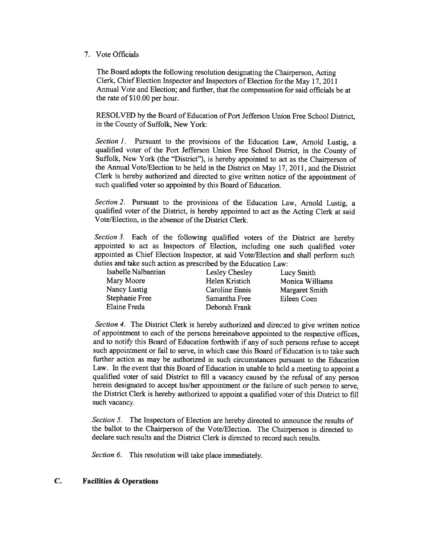#### 7. Vote Officials

The Board adopts the following resolution designating the Chairperson, Acting Clerk, Chief Election Inspector and Inspectors of Election for the May 17, <sup>2011</sup> Annual Vote and Election; and further, that the compensation for said officials be at the rate of \$10.00 per hour.

RESOLVED by the Board of Education of Port Jefferson Union Free School District, in the County of Suffolk, New York:

Section 1. Pursuant to the provisions of the Education Law, Arnold Lustig, a qualified voter of the Port Jefferson Union Free School District, in the County of Suffolk, New York (the "District"), is hereby appointed to act as the Chairperson of the Annual Vote/Election to be held in the District on May 17, 2011, and the District Clerk is hereby authorized and directed to <sup>g</sup>ive written notice of the appointment of such qualified voter so appointed by this Board of Education.

Section 2. Pursuant to the provisions of the Education Law, Arnold Lustig, a qualified voter of the District, is hereby appointed to act as the Acting Clerk at said Vote/Election, in the absence of the District Clerk.

Section 3. Each of the following qualified voters of the District are hereby appointed to act as Inspectors of Election, including one such qualified voter appointed as Chief Election Inspector, at said Vote/Election and shall perform such duties and take such action as prescribed by the Education Law:<br>Isabelle Nalbantian Lesley Chesley Lu

Mary Moore Helen Kristich Monica Williams Nancy Lustig Caroline Ennis Margaret Smith<br>Stephanie Free Samantha Free Eileen Coen Elaine Freda Deborah Frank

Isabelle Nalbantian Lesley Chesley Lucy Smith Samantha Free Eileen Coen

Section 4. The District Clerk is hereby authorized and directed to give written notice of appointment to each of the persons hereinabove appointed to the respective offices, and to notify this Board of Education forthwith if any of such persons refuse to accep<sup>t</sup> such appointment or fail to serve, in which case this Board of Education is to take such further action as may be authorized in such circumstances pursuan<sup>t</sup> to the Education Law. In the event that this Board of Education in unable to hold <sup>a</sup> meeting to appoint <sup>a</sup> qualified voter of said District to fill <sup>a</sup> vacancy caused by the refusal of any person herein designated to accep<sup>t</sup> his/her appointment or the failure of such person to serve, the District Clerk is hereby authorized to appoint <sup>a</sup> qualified voter of this District to fill such vacancy.

Section 5. The Inspectors of Election are hereby directed to announce the results of the ballot to the Chairperson of the Vote/Election. The Chairperson is directed to declare such results and the District Clerk is directed to record such results.

Section 6. This resolution will take place immediately.

### C. Facilities & Operations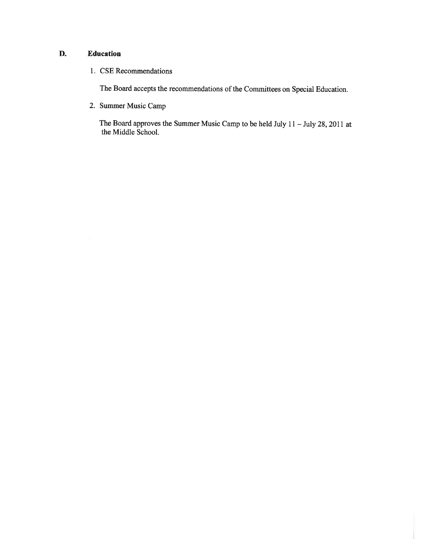# D. Education

1. CSE Recommendations

The Board accepts the recommendations of the Committees on Special Education.

2. Summer Music Camp

The Board approves the Summer Music Camp to be held July <sup>11</sup> — July 28, <sup>2011</sup> at the Middle School.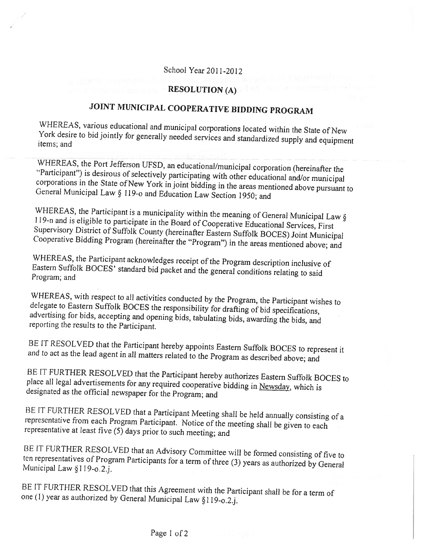# School Year 2011-2012

# RESOLUTION (A)

# JOINT MUNICIPAL COOPERATIVE BIDDING PROGRAM

WHEREAS, various educational and municipal corporations located within the State of New York desire to bid jointly for generally needed services and standardized supply and equipment items; and

WHEREAS, the Port Jefferson UFSD, an educational/municipal corporation (hereinafter the "Participant") is desirous of selectively participating with other educational and/or municipal Genera! Municipal corporations in the State of New York in joint bidding in the areas mentioned above pursuant to<br>General Municipal Law § 119-o and Education Law Section 1950; and

WHEREAS, the Participant is a municipality within the meaning of General Municipal Law § 119-n and is eligible to participate in the Board of Cooperative Educational Services, First Supervisory District of Suffolk County (hereinafter Eastern Suffolk BOCES) Joint Municipal<br>Cooperative Bidding Program (hereinafter the "Program") in the areas mentioned above; and

WHEREAS, the Participant acknowledges receipt of the Program description inclusive of Eastern Suffolk BOCES' standard bid packet and the general conditions relating to said Program; and

WHEREAS, with respect to all activities conducted by the Program, the Participant wishes to delegate to Eastern Suffolk BOCES the responsibility for drafting of bid specifications, advertising for bids, accepting and openi

BE IT RESOLVED that the Participant hereby appoints Eastern Suffolk BOCES to represent it and to act as the lead agent in all matters related to the Program as described above; and

BE IT FURTHER RESOLVED that the Participant hereby authorizes Eastern Suffolk BOCES to place all legal advertisements for any required cooperative bidding in Newsday, which is designated as the official newspaper for the P

BE IT FURTHER RESOLVED that a Participant Meeting shall be held annually consisting of a representative from each Program Participant. Notice of the meeting shall be given to each representative at least five (5) days prio

BE IT FURTHER RESOLVED that an Advisory Committee will be formed consisting of five to Municipal Law §119-o.2.i. ten representatives of Program Participants for a term of three (3) years as authorized by General

BE IT FURTHER RESOLVED that this Agreement with the Participant shall be for a term of one (1) year as authorized by General Municipal Law §119-0.2.j.

# Page 1 of 2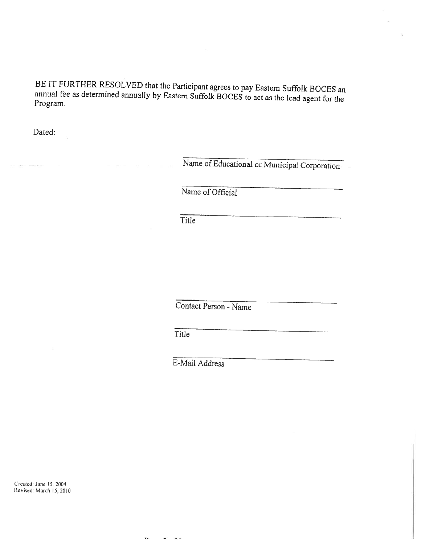BE IT FURTHER RESOLVED that the Participant agrees to pay Eastern Suffolk BOCES an annual fee as determined annually by Eastern Suffolk BOCES to act as the lead agent for the Program.

Dated:

Name of Educational or Municipal Corporation

Name of Official

Title

Contact Person - Name

**Title** 

 $\overline{ }$ 

 $\tilde{\phantom{a}}$  $\sim$   $\sim$ 

E-Mail Address

Created: June 15, 2004 Revised: March 15, 2010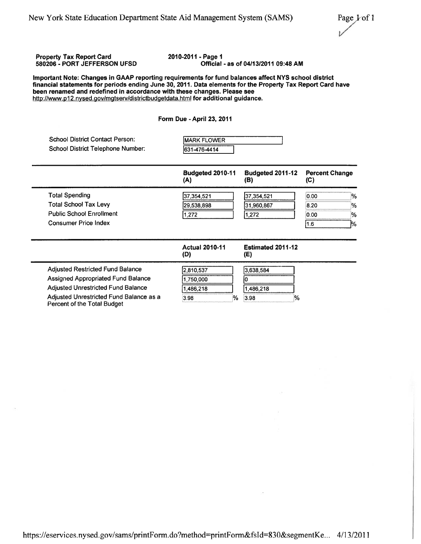# Property Tax Report Card 2010-2011 - Page 1<br>580206 - PORT JEFFERSON UFSD 60206 - PORT Official - as of 04/13/2011 09:48 AM Important Note: Changes in GAAP reporting requirements for fund balances affect NYS school district financial statements for periods ending June 30, 2011. Data elements for the Property Tax Report Card have been renamed and redefined in accordance with these changes. Please see http://www.p12.nysed.gov/mgtserv/districtbudgetdata.html for additional guidance. Form Due - April 23, 2011 School District Contact Person: MARK FLOWER School District Telephone Number: 631-476-4414 Budgeted 2010-11 Budgeted 2011-12 Percent Change (A) (B) (C) Total Spending 37,354,521 37,354,521 0.00 % Total School Tax Levy 29,538,898 31,960,867 8.20 % Public School Enrollment 1,272 1,272 1,272 0.00 % Consumer Price Index 11.6 1% Actual 2010-11 Estimated 2011-12 (D) (E) Adjusted Restricted Fund Balance 2,810,537 1 3,638,584 Assigned Appropriated Fund Balance 11,750,000 10 Adjusted Unrestricted Fund Balance 11,486,218 1,486,218 Adjusted Unrestricted Fund Balance as a  $\frac{3.98}{0.398}$  3.98 Percent of the Total Budget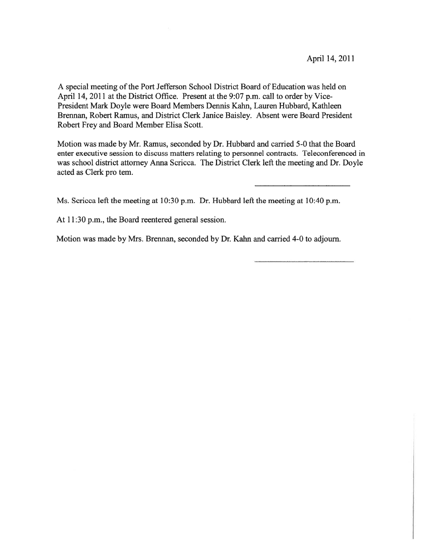A special meeting of the Port Jefferson School District Board of Education was held on April 14, 2011 at the District Office. Present at the 9:07 p.m. call to order by Vice-President Mark Doyle were Board Members Dennis Kahn, Lauren Hubbard, Kathleen Brennan, Robert Ramus, and District Clerk Janice Baisley. Absent were Board President Robert Frey and Board Member Elisa Scott.

Motion was made by Mr. Ramus, seconded by Dr. Hubbard and carried 5-0 that the Board enter executive session to discuss matters relating to personnel contracts. Teleconferenced in was school district attorney Anna Scricca. The District Clerk left the meeting and Dr. Doyle acted as Clerk pro tem.

Ms. Scricca left the meeting at 10:30 p.m. Dr. Hubbard left the meeting at 10:40 p.m.

At 11:30 p.m., the Board reentered general session.

Motion was made by Mrs. Brennan, seconded by Dr. Kahn and carried 4-0 to adjourn.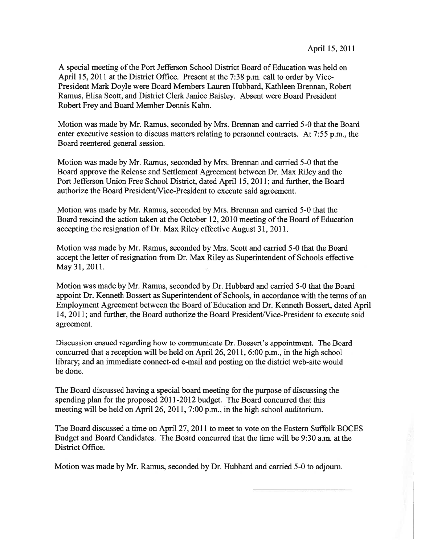A special meeting of the Port Jefferson School District Board of Education was held on April 15, 2011 at the District Office. Present at the 7:38 p.m. call to order by Vice-President Mark Doyle were Board Members Lauren Hubbard, Kathleen Brennan, Robert Ramus, Elisa Scott, and District Clerk Janice Baisley. Absent were Board President Robert Frey and Board Member Dennis Kahn.

Motion was made by Mr. Ramus, seconded by Mrs. Brennan and carried 5-0 that the Board enter executive session to discuss matters relating to personnel contracts. At 7:55 p.m., the Board reentered general session.

Motion was made by Mr. Ramus, seconded by Mrs. Brennan and carried 5-0 that the Board approve the Release and Settlement Agreement between Dr. Max Riley and the Port Jefferson Union Free School District, dated April 15, 2011; and further, the Board authorize the Board President/Vice-President to execute said agreement.

Motion was made by Mr. Ramus, seconded by Mrs. Brennan and carried 5-0 that the Board rescind the action taken at the October 12, 2010 meeting of the Board of Education accepting the resignation of Dr. Max Riley effective August 31, 2011.

Motion was made by Mr. Ramus, seconded by Mrs. Scott and carried 5-0 that the Board accept the letter of resignation from Dr. Max Riley as Superintendent of Schools effective May31, 2011.

Motion was made by Mr. Ramus, seconded by Dr. Hubbard and carried 5-0 that the Board appoint Dr. Kenneth Bossert as Superintendent of Schools, in accordance with the terms of an Employment Agreement between the Board of Education and Dr. Kenneth Bossert, dated April 14, 2011; and further, the Board authorize the Board President/Vice-President to execute said agreement.

Discussion ensued regarding how to communicate Dr. Bossert's appointment. The Board concurred that <sup>a</sup> reception will be held on April 26, 2011, 6:00 p.m., in the high school library; and an immediate connect-ed e-mail and posting on the district web-site would be done.

The Board discussed having <sup>a</sup> special board meeting for the purpose of discussing the spending plan for the proposed 2011-2012 budget. The Board concurred that this meeting will be held on April 26, 2011, 7:00 p.m., in the high school auditorium.

The Board discussed <sup>a</sup> time on April 27, 2011 to meet to vote on the Eastern Suffolk BOCES Budget and Board Candidates. The Board concurred that the time will be 9:30 a.m. at the District Office.

Motion was made by Mr. Ramus, seconded by Dr. Hubbard and carried 5-0 to adjourn.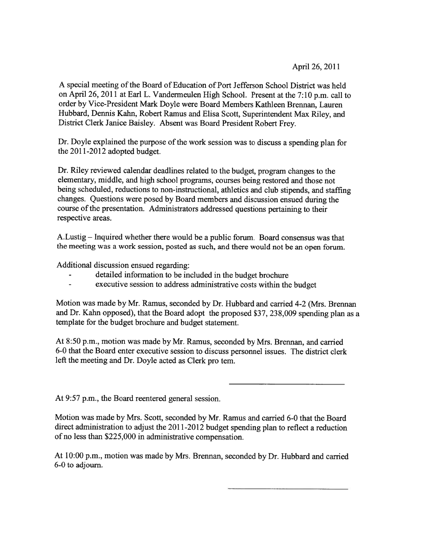April 26, 2011

A special meeting of the Board of Education of Port Jefferson School District was held on April 26, <sup>2011</sup> at Earl L. Vandermeulen High School. Present at the 7:10 p.m. call to order by Vice-President Mark Doyle were Board Members Kathleen Brennan, Lauren Hubbard, Dennis Kahn, Robert Ramus and Elisa Scott, Superintendent Max Riley, and District Clerk Janice Baisley. Absent was Board President Robert Frey.

Dr. Doyle explained the purpose of the work session was to discuss <sup>a</sup> spending <sup>p</sup>lan for the 2011-2012 adopted budget.

Dr. Riley reviewed calendar deadlines related to the budget, program changes to the elementary, middle, and high school programs, courses being restored and those not being scheduled, reductions to non-instructional, athletics and club stipends, and staffing changes. Questions were pose<sup>d</sup> by Board members and discussion ensued during the course of the presentation. Administrators addressed questions pertaining to their respective areas.

A.Lustig — Inquired whether there would be <sup>a</sup> public forum. Board consensus was that the meeting was <sup>a</sup> work session, posted as such, and there would not be an open forum.

Additional discussion ensued regarding:

- detailed information to be included in the budget brochure
- executive session to address administrative costs within the budget

Motion was made by Mr. Ramus, seconded by Dr. Hubbard and carried 4-2 (Mrs. Brennan and Dr. Kahn opposed), that the Board adopt the propose<sup>d</sup> \$37, 238,009 spending <sup>p</sup>lan as <sup>a</sup> template for the budget brochure and budget statement.

At 8:50 p.m., motion was made by Mr. Ramus, seconded by Mrs. Brennan, and carried 6-0 that the Board enter executive session to discuss personne<sup>l</sup> issues. The district clerk left the meeting and Dr. Doyle acted as Clerk pro tern.

At 9:57 p.m., the Board reentered general session.

Motion was made by Mrs. Scott, seconded by Mr. Ramus and carried 6-0 that the Board direct administration to adjust the 2011-2012 budget spending <sup>p</sup>lan to reflect <sup>a</sup> reduction of no less than \$225,000 in administrative compensation.

At 10:00 p.m., motion was made by Mrs. Brennan, seconded by Dr. Hubbard and carried 6-0 to adjourn.